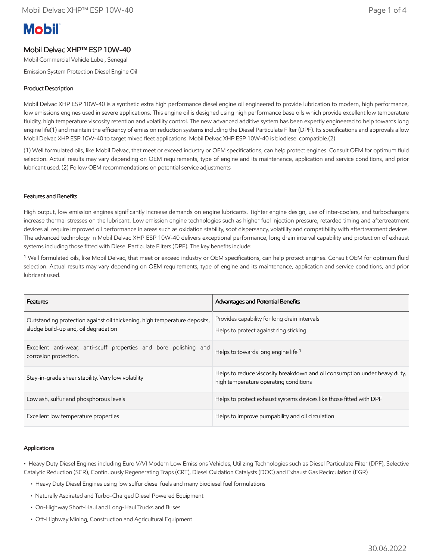# **Mobil**

## Mobil Delvac XHP™ ESP 10W-40

Mobil Commercial Vehicle Lube , Senegal

Emission System Protection Diesel Engine Oil

### Product Description

Mobil Delvac XHP ESP 10W-40 is a synthetic extra high performance diesel engine oil engineered to provide lubrication to modern, high performance, low emissions engines used in severe applications. This engine oil is designed using high performance base oils which provide excellent low temperature fluidity, high temperature viscosity retention and volatility control. The new advanced additive system has been expertly engineered to help towards long engine life(1) and maintain the efficiency of emission reduction systems including the Diesel Particulate Filter (DPF). Its specifications and approvals allow Mobil Delvac XHP ESP 10W-40 to target mixed fleet applications. Mobil Delvac XHP ESP 10W-40 is biodiesel compatible.(2)

(1) Well formulated oils, like Mobil Delvac, that meet or exceed industry or OEM specifications, can help protect engines. Consult OEM for optimum fluid selection. Actual results may vary depending on OEM requirements, type of engine and its maintenance, application and service conditions, and prior lubricant used. (2) Follow OEM recommendations on potential service adjustments

#### Features and Benefits

High output, low emission engines significantly increase demands on engine lubricants. Tighter engine design, use of inter-coolers, and turbochargers increase thermal stresses on the lubricant. Low emission engine technologies such as higher fuel injection pressure, retarded timing and aftertreatment devices all require improved oil performance in areas such as oxidation stability, soot dispersancy, volatility and compatibility with aftertreatment devices. The advanced technology in Mobil Delvac XHP ESP 10W-40 delivers exceptional performance, long drain interval capability and protection of exhaust systems including those fitted with Diesel Particulate Filters (DPF). The key benefits include:

<sup>1</sup> Well formulated oils, like Mobil Delvac, that meet or exceed industry or OEM specifications, can help protect engines. Consult OEM for optimum fluid selection. Actual results may vary depending on OEM requirements, type of engine and its maintenance, application and service conditions, and prior lubricant used.

| <b>Features</b>                                                                                                   | <b>Advantages and Potential Benefits</b>                                                                           |
|-------------------------------------------------------------------------------------------------------------------|--------------------------------------------------------------------------------------------------------------------|
| Outstanding protection against oil thickening, high temperature deposits,<br>sludge build-up and, oil degradation | Provides capability for long drain intervals<br>Helps to protect against ring sticking                             |
| Excellent anti-wear, anti-scuff properties and bore polishing and<br>corrosion protection.                        | Helps to towards long engine life <sup>1</sup>                                                                     |
| Stay-in-grade shear stability. Very low volatility                                                                | Helps to reduce viscosity breakdown and oil consumption under heavy duty,<br>high temperature operating conditions |
| Low ash, sulfur and phosphorous levels                                                                            | Helps to protect exhaust systems devices like those fitted with DPF                                                |
| Excellent low temperature properties                                                                              | Helps to improve pumpability and oil circulation                                                                   |

#### Applications

• Heavy Duty Diesel Engines including Euro V/VI Modern Low Emissions Vehicles, Utilizing Technologies such as Diesel Particulate Filter (DPF), Selective Catalytic Reduction (SCR), Continuously Regenerating Traps (CRT), Diesel Oxidation Catalysts (DOC) and Exhaust Gas Recirculation (EGR)

- Heavy Duty Diesel Engines using low sulfur diesel fuels and many biodiesel fuel formulations
- Naturally Aspirated and Turbo-Charged Diesel Powered Equipment
- On-Highway Short-Haul and Long-Haul Trucks and Buses
- Off-Highway Mining, Construction and Agricultural Equipment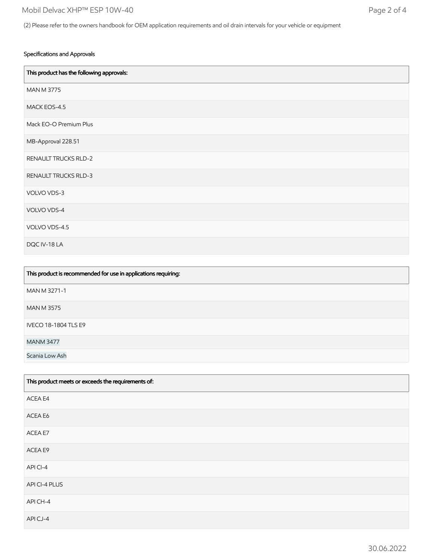#### Specifications and Approvals

| This product has the following approvals: |
|-------------------------------------------|
| <b>MAN M 3775</b>                         |
| MACK EOS-4.5                              |
| Mack EO-O Premium Plus                    |
| MB-Approval 228.51                        |
| <b>RENAULT TRUCKS RLD-2</b>               |
| <b>RENAULT TRUCKS RLD-3</b>               |
| VOLVO VDS-3                               |
| VOLVO VDS-4                               |
| VOLVO VDS-4.5                             |
| DQC IV-18 LA                              |

| This product is recommended for use in applications requiring: |
|----------------------------------------------------------------|
| MAN M 3271-1                                                   |
| <b>MAN M 3575</b>                                              |
| <b>IVECO 18-1804 TLS E9</b>                                    |
| <b>MANM 3477</b>                                               |
| Scania Low Ash                                                 |

| This product meets or exceeds the requirements of: |
|----------------------------------------------------|
| ACEA E4                                            |
| ACEA E6                                            |
| ACEA E7                                            |
| ACEA E9                                            |
| APICI-4                                            |
| API CI-4 PLUS                                      |
| API CH-4                                           |
| APICJ-4                                            |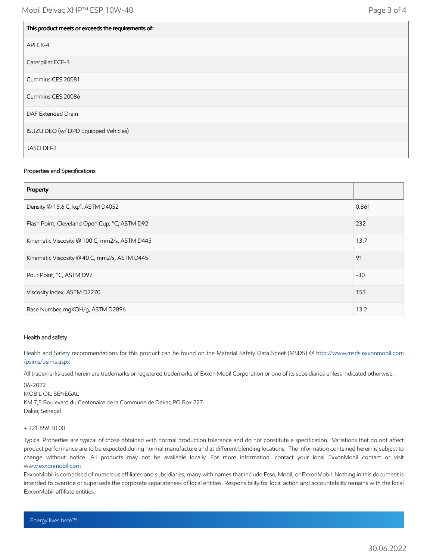| This product meets or exceeds the requirements of: |
|----------------------------------------------------|
| API CK-4                                           |
| Caterpillar ECF-3                                  |
| Cummins CES 20081                                  |
| Cummins CES 20086                                  |
| DAF Extended Drain                                 |
| ISUZU DEO (w/ DPD Equipped Vehicles)               |
| JASO DH-2                                          |

#### Properties and Specifications

| Property                                      |       |
|-----------------------------------------------|-------|
| Density @ 15.6 C, kg/l, ASTM D4052            | 0.861 |
| Flash Point, Cleveland Open Cup, °C, ASTM D92 | 232   |
| Kinematic Viscosity @ 100 C, mm2/s, ASTM D445 | 13.7  |
| Kinematic Viscosity @ 40 C, mm2/s, ASTM D445  | 91    |
| Pour Point, °C, ASTM D97                      | $-30$ |
| Viscosity Index, ASTM D2270                   | 153   |
| Base Number, mgKOH/g, ASTM D2896              | 13.2  |

#### Health and safety

Health and Safety recommendations for this product can be found on the Material Safety Data Sheet (MSDS) @ [http://www.msds.exxonmobil.com](http://www.msds.exxonmobil.com/psims/psims.aspx) /psims/psims.aspx

All trademarks used herein are trademarks or registered trademarks of Exxon Mobil Corporation or one of its subsidiaries unless indicated otherwise.

06-2022 MOBIL OIL SENEGAL KM 7,5 Boulevard du Centenaire de la Commune de Dakar, PO Box 227 Dakar, Senegal

#### + 221 859 30 00

Typical Properties are typical of those obtained with normal production tolerance and do not constitute a specification. Variations that do not affect product performance are to be expected during normal manufacture and at different blending locations. The information contained herein is subject to change without notice. All products may not be available locally. For more information, contact your local ExxonMobil contact or visit [www.exxonmobil.com](http://www.exxonmobil.com/)

ExxonMobil is comprised of numerous affiliates and subsidiaries, many with names that include Esso, Mobil, or ExxonMobil. Nothing in this document is intended to override or supersede the corporate separateness of local entities. Responsibility for local action and accountability remains with the local ExxonMobil-affiliate entities.